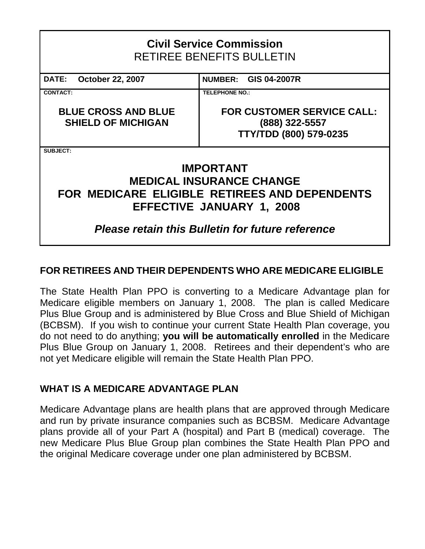# **Civil Service Commission**  RETIREE BENEFITS BULLETIN

**DATE: October 22, 2007 NUMBER: GIS 04-2007R CONTACT: TELEPHONE NO.: BLUE CROSS AND BLUE SHIELD OF MICHIGAN FOR CUSTOMER SERVICE CALL: (888) 322-5557 TTY/TDD (800) 579-0235**

**SUBJECT:**

# **IMPORTANT MEDICAL INSURANCE CHANGE FOR MEDICARE ELIGIBLE RETIREES AND DEPENDENTS EFFECTIVE JANUARY 1, 2008**

# *Please retain this Bulletin for future reference*

## **FOR RETIREES AND THEIR DEPENDENTS WHO ARE MEDICARE ELIGIBLE**

The State Health Plan PPO is converting to a Medicare Advantage plan for Medicare eligible members on January 1, 2008. The plan is called Medicare Plus Blue Group and is administered by Blue Cross and Blue Shield of Michigan (BCBSM). If you wish to continue your current State Health Plan coverage, you do not need to do anything; **you will be automatically enrolled** in the Medicare Plus Blue Group on January 1, 2008. Retirees and their dependent's who are not yet Medicare eligible will remain the State Health Plan PPO.

### **WHAT IS A MEDICARE ADVANTAGE PLAN**

Medicare Advantage plans are health plans that are approved through Medicare and run by private insurance companies such as BCBSM. Medicare Advantage plans provide all of your Part A (hospital) and Part B (medical) coverage. The new Medicare Plus Blue Group plan combines the State Health Plan PPO and the original Medicare coverage under one plan administered by BCBSM.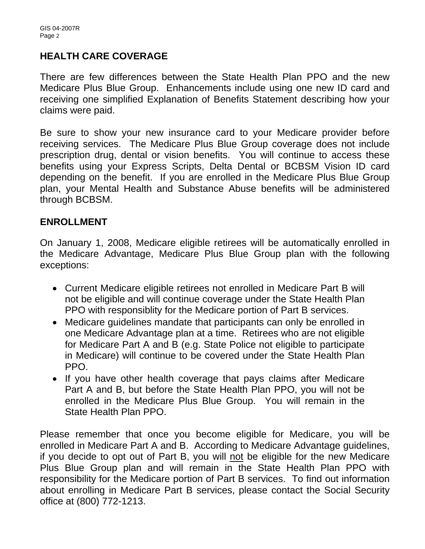### **HEALTH CARE COVERAGE**

There are few differences between the State Health Plan PPO and the new Medicare Plus Blue Group. Enhancements include using one new ID card and receiving one simplified Explanation of Benefits Statement describing how your claims were paid.

Be sure to show your new insurance card to your Medicare provider before receiving services. The Medicare Plus Blue Group coverage does not include prescription drug, dental or vision benefits. You will continue to access these benefits using your Express Scripts, Delta Dental or BCBSM Vision ID card depending on the benefit. If you are enrolled in the Medicare Plus Blue Group plan, your Mental Health and Substance Abuse benefits will be administered through BCBSM.

#### **ENROLLMENT**

On January 1, 2008, Medicare eligible retirees will be automatically enrolled in the Medicare Advantage, Medicare Plus Blue Group plan with the following exceptions:

- Current Medicare eligible retirees not enrolled in Medicare Part B will not be eligible and will continue coverage under the State Health Plan PPO with responsiblity for the Medicare portion of Part B services.
- Medicare guidelines mandate that participants can only be enrolled in one Medicare Advantage plan at a time. Retirees who are not eligible for Medicare Part A and B (e.g. State Police not eligible to participate in Medicare) will continue to be covered under the State Health Plan PPO.
- If you have other health coverage that pays claims after Medicare Part A and B, but before the State Health Plan PPO, you will not be enrolled in the Medicare Plus Blue Group. You will remain in the State Health Plan PPO.

Please remember that once you become eligible for Medicare, you will be enrolled in Medicare Part A and B. According to Medicare Advantage guidelines, if you decide to opt out of Part B, you will not be eligible for the new Medicare Plus Blue Group plan and will remain in the State Health Plan PPO with responsibility for the Medicare portion of Part B services. To find out information about enrolling in Medicare Part B services, please contact the Social Security office at (800) 772-1213.